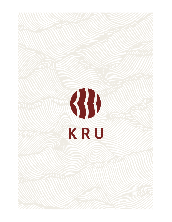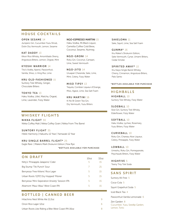#### HOUSE COCKTAILS

OPEN SESAME 14 Junipero Gin, Cucumber-Yuzu Shrub, Dolin Dry Vermouth, Lemon, Sesame

KAT DADDY 13 Kikori Rice Whisky, Amontillado Sherry, Angostura Bitters, Lemon, Orgeat, Mint

KYOSHI WARRIOR 14 Tito's Vodka, Aperol, Passionfruit, Vanilla, Shiso, Li Hing Mui, Lime

KRU OLD-FASHIONED 15 Suntory Toki Whisky, Ginger, Chocolate Bitters

TOKYO TEA 13 Haku Vodka, Lillet, Matcha, Orgeat, Lime, Lavender, Fizzy Water

NGO-ESPRESSO MARTINI 15 Haku Vodka, Mr.Black Liquor, Camellia Coffee Cold Brew, Coconut, Sesame, Nutmeg

NGO-GRONI 14 Roku Gin, Coconut, Campari, Ume, Sweet Vermouth

NGO-JITO 14 Uruapan Charanda, Sake, Lime, Mint, Celery, Fizzy Water

MISO TIPSY 13 Tequila, Combier Liqueur d'Orange, Miso, Agave, Lime, Sea Salt Foam

KRU MARTINI 16 Ki No Bi Green Tea Gin, Dry Vermouth, Yuzu Bitters

#### WHISKEY FLIGHTS

NIKKA FLIGHT 30 Nikka Coffey Malt | Nikka Coffey Grain | Nikka From The Barrel

SUNTORY FLIGHT 35 Hibiki Harmony | Hakushu 12 Year | Yamazaki 12 Year

#### KRU SINGLE BARREL FLIGHT\* 25

Eagle Rare | Makers Mark Shokunin Edition | Few Rye

**\***BOTTLES AVAILABLE FOR PURCHASE

| ON DRAFT                                        | 10 <sub>07</sub> | 3207 |
|-------------------------------------------------|------------------|------|
| Nitty's 'Pineapple Jalapeno' Cider              | 5                | 15   |
| Big Stump 'Tiki Punch' Sour                     |                  | 21   |
| Berryessa 'Free Kittens' Rice Lager             | 5                | 15   |
| Urban Roots 'EZPZ Dry Hopped' Pilsner           | 5                | 15   |
| Berryessa 'Mini-Seperation Anxiety' Session IPA | 5                | 15   |
| Altamont 'Maui-Waui' West Coast IPA             | 5                | 15   |

#### BOTTLED | CANNED BEER

Hitachino Nest White Ale 11.2oz 9 Orion Rice Lager 12oz 6 Urban Roots Like Riding a Bike West Coast IPA 16oz 8 SAKELOMA 11 Sake, Squirt, Lime, Sea Salt Foam

GUNMA\* 16 Kru Maker's Shokunin Edition, Sake Vermouth, Cynar, Umami Bitters, Cedar Smoke

SPIRITED AWAY\* 22 Kru Kaiyo Single Barrel Whisky, Cherry, Cinnamon, Angostura Bitters, Palo Santo

#### **\***BOTTLES AVAILABLE FOR PURCHASE

#### **HIGHBALLS**

HIGHBALL 10 Suntory Toki Whisky, Fizzy Water

SLOEBALL 10 Sloe Gin, Suntory Toki Whisky, Elderflower, Fizzy Water

SOFTBALL 10 Haku Vodka, Lychee, Rosemary, Yuzu Bitters, Fizzy Water

CURVEBALL 10 Roku Gin, Chareau Aloe Liqueur, Celery, Pineapple, Fizzy Water

LOWBALL 10 Umeshu, Roku Gin, Pomegranate, Peychauds Bitters, Fizzy Water

HIGHFIVE 5 Teeny Tiny Toki Soda

#### SANS SPIRIT

Suntory All-Free 5 Coca-Cola 5 Squirt Grapefruit Soda 5 Iced Black Tea 4 Passionfruit Vanilla Lemonade 6 Zen Garden 8 Cucumber, Yuzu, Seedlip Garden, Lemon, Tonic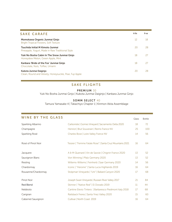| <b>SAKE CARAFE</b>                                                                   | 60z | 9 oz |
|--------------------------------------------------------------------------------------|-----|------|
| Momokawa Organic Junmai Ginjo<br><b>Bright Tropical Flowers, Soft Texture</b>        | 12  | 18   |
| Tsuchida Initial M Kimoto Junmai<br>Pineapple, Yogurt, Made in Raw Traditional Style | 20  | 28   |
| Yuki No Bosha Cabin In The Snow Junmai Ginjo<br>Honeydew Melon, Green Apple, Mint    | 18  | 27   |
| Kanbara 'Bride of the Fox' Junmai Ginjo<br>Chocolate, Nuts, Toffee, Umami            | 18  | 27   |
| Kubota Junmai Daiginjo<br>Clean, Round and Velvety, Honeysuckle, Pear, Fuji Apple    | 20  | 28   |

#### SAKE FLIGHTS

#### PREMIUM 30

Yuki No Bosha Junmai Ginjo | Kubota Junmai Daiginjo | Kanbara Junmai Ginjo

#### SOMM SELECT 40

Tamura Yamasake 4 | Takachiyo Chapter 1 | Kinmon Akita Assemblage

| <b>WINE BY THE GLASS</b> |                                                           | Glass | <b>Bottle</b> |
|--------------------------|-----------------------------------------------------------|-------|---------------|
| Sparkling Albarino       | Carboniste   Gomes Vineyard   Sacramento Delta 2020       | 18    | 72            |
| Champagne                | Henriot   Brut Souverain   Reims France NV                | 25    | 100           |
| Sparkling Rosé           | Charles Bove   Loire Valley France NV                     | 14    | 56            |
| Rosé of Pinot Noir       | Tessier   "Femme Fatale Rose"   Santa Cruz Mountains 2021 | 16    | 64            |
| Jacquere                 | A & M Quenard   Vin de Savoie   Chignin France 2020       | 13    | 52            |
| Sauvignon Blanc          | Von Winning   Pfalz Germany 2020                          | 13    | 52            |
| Riesling                 | Willems-Willems   Feinherb   Saar Germany 2020            | 14    | 56            |
| Chardonnay               | Iconic   "Heroine"   Santa Lucia Highlands 2019           | 16    | 64            |
| Rousanne/Chardonnay      | Stolpman Vineyards   "Uni"   Ballard Canyon 2020          | 17    | 68            |
| Pinot Noir               | Joseph Swan Vineyards   Russian River Valley 2017         | 21    | 84            |
| <b>Red Blend</b>         | Skinner   "Native Red"   El Dorado 2019                   | 11    | 44            |
| Nebbiolo                 | Cantine Elevio Tintero   Barbaresco Piedmont Italy 2018   | 17    | 68            |
| Carignan                 | Railsback Freres   Santa Ynez Valley 2020                 | 15    | 60            |
| Cabernet Sauvignon       | Cultivar   North Coast 2019                               | 16    | 64            |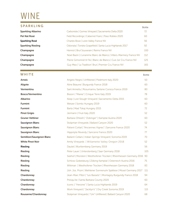## WINE

#### SPARKLING Bottle

|                           |                                                                    | DUCCO |
|---------------------------|--------------------------------------------------------------------|-------|
| <b>Sparkling Albarino</b> | Carboniste   Gomes Vineyard   Sacramento Delta 2020                | 72    |
| Pet Nat Rosé              | Field Recordings   Cabernet Franc   Paso Robles 2020               | 60    |
| <b>Sparkling Rosé</b>     | Charles Bove   Loire Valley France NV                              | 56    |
| <b>Sparkling Riesling</b> | Odonata   Tondra Grapefield   Santa Lucia Highlands 2017           | 92    |
| Champagne                 | Henriot   Brut Souverain   Reims France NV                         | 100   |
| Champagne                 | Noel Bazin   L'unanime Blanc de Blancs   Villers-Marmery France NV | 112   |
| Champagne                 | Pierre Gimonnet & Fils   Blanc de Blancs   Cuis 1er Cru France NV  | 125   |
| Champagne                 | Guy Mea   'La Tradition' Brut   Premier Cru France NV              | 165   |

#### WHITE Bottle

Arneis **Angelo Negro | Unfiltered | Piedmont Italy 2020** 50 Aligote **Aligote** Aline Beaune | Burgundy France 2018 **60** and the Sea Aligote Control of the Sea Aligote Control of the Sea Aligote Control of the Sea Aligote Control of the Sea Aligote Control of the Sea Aligote Control **Vermentinu** Sant Armettu | Rosumarinu Sartene Corsica France 2019 80 **Bosco/Vermentino Bisson** | "Marea" | Cinque Terre Italy 2019 **78** Albarino **Keep | Lost Slough Vineyard | Sacramento Delta 2015** 60 **Furmint** 60 **Furmint Barta | Mad Tokaj Hungary 2015** 72 **Pinot Grigio** 52 Gruner Veltliner **Barbara Ohlzelt | "Zobinger" | Kamptal Austria 2020** 60 **Sauvignon Blanc** Stolpman Vineyards | Ballard Canyon 2020 52 Sauvignon Blanc **Patient Cottat | "Anciennes Vignes" | Sancerre France 2020** 74 Sauvignon Blanc **Example 2020** Hippolyte Reverdy | Sancerre France 2020 Semillion/Sauvignon Blanc Bailarín Cellars | Indian Springs Vineyard | Sonoma 2019 70 White Pinot Noir **Amity Vineyards | Willamette Valley Oregon 2018** 52 Riesling **Example 2018** Dautel | Wurttemberg Germany 2019 **56** Riesling **Riesling Peter Lauer | Unterstenberg | Saar Germany 2018** 105 Riesling Seehof | Morstein | Westhofener Trocken | Rheinhessen Germany 2016 90 Riesling Schloss Gobelsburg | Zöbing Kamptal | Osterreich Austria 2016 75 Riesling Mission Mittman | Westhofener Trocken | Rheinhessen Germany 2018 83 Riesling Matter Joh. Jos. Prüm | Wehlener Sonnenuhr Spätlese | Mosel Germany 2017 111 Chardonnay **Chardonnay Jean-Marc Pillot** | "Les Bassets" | Montagny Burgundy France 2018 94 Chardonnay **Chardonnay Presqu'ile | Santa Barbara County 2020** 60 **Chardonnay Iconic** | "Heroine" | Santa Lucia Highlands 2019 **64 Chardonnay Chardonnay** Mork Vineyard | "Jacklyn's" | Dry Creek Sonoma 2019 115 Rousanne/Chardonnay **Stolpman Vineyards | "Uni" Unfiltered | Ballard Canyon 2020** 68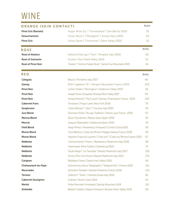## WINE

| ORANGE (SKIN CONTACT)      |                                                                       | <b>Bottle</b> |
|----------------------------|-----------------------------------------------------------------------|---------------|
| <b>Pinot Gris (Ramato)</b> | Augur Wine Co.   "Foreshadow"   San Benito 2019                       | 70            |
| Gewurtraminer              | Union Sacre   "l'Orangerie"   Arroyo Seco 2020                        | 50            |
| <b>Pinot Gris</b>          | Union Sacre   "I'lnconnue"   Edna Valley 2020                         | 55            |
| <b>ROSE</b>                |                                                                       | <b>Bottle</b> |
| Rosé of Aleatico           | Fattoria Villa Ligi   "Fiori"   Pergola Italy 2020                    | 50            |
| Rosé of Grenache           | Cruess   Dry Creek Valley 2019                                        | 52            |
| Rosé of Pinot Noir         | Tessier   "Femme Fatale Rose"   Santa Cruz Mountains 2021             | 64            |
| <b>RED</b>                 |                                                                       | <b>Bottle</b> |
| Ciliegolo                  | Bisson   Portofino Italy 2017                                         | 48            |
| Gamay                      | M&C Lapierre   "N"   Morgon Beaujolais France 2020                    | 120           |
| <b>Pinot Noir</b>          | Lichen Estate   "Moonglow"   Anderson Valley 2019                     | 56            |
| <b>Pinot Noir</b>          | Joseph Swan Vineyards   Russian River Valley 2017                     | 84            |
| <b>Pinot Noir</b>          | Arnaud Mortet   "Ma Cuvee"  Gevrey-Chambertin France 2019             | 245           |
| <b>Cabernet Franc</b>      | Terrassen   Finger Lakes New York 2018                                | 70            |
| Sangiovese                 | Colle Adimari   "Liber"   Tuscany Italy 2020                          | 64            |
| Jura Blend                 | Domaine Rolet   'Rouge Tradition'   Arbois Jura France 2018           | 67            |
| Mencia Blend               | Silice Viticultores   Ribeira Sacra Spain 2016                        | 55            |
| Mencia                     | Joaquin Rebodello   Valdeorras Spain 2018                             | 44            |
| <b>Field Blend</b>         | Keep Wines   Vanderkous Vineyard   Contra Costa 2018                  | 60            |
| <b>Rhone Blend</b>         | Clos Bellane   Cotes du Rhone Villages Valreas France 2018            | 60            |
| <b>Rhone Blend</b>         | Maxime-Francois Laurent   "il fait soif"   Cotes du Rhone France 2019 | 67            |
| <b>Nebbiolo</b>            | Cantine Elevio Tintero   Barbaresco Piedmont Italy 2018               | 68            |
| <b>Nebbiolo</b>            | Haarmeyer Wine Cellars   Clarksburg 2020                              | 75            |
| <b>Nebbiolo</b>            | Giulia Negri   "La Tartufaia"   Barolo Piedmont Italy 2017            | 150           |
| <b>Nebbiolo</b>            | Enrico Pira   Via Nuova   Barolo Piedmont Italy 2015                  | 275           |
| Carignan                   | Railsback Freres   Santa Ynez Valley 2020                             | 60            |
| Chateauneuf-du-Pape        | Domaine du Vieux Telegraphe   "Telegramme"   France 2020              | 115           |
| Mourvedre                  | Domaine Tempier   Bandol Provence France 2018                         | 150           |
| <b>Terrano</b>             | Zidarich   "Teran"   Venezia Giulia Italy 2016                        | 82            |
| <b>Cabernet Sauvignon</b>  | Cultivar   North Coast 2019                                           | 64            |
| Merlot                     | Pride Mountain Vineyards   Spring Mountain 2018                       | 112           |
|                            |                                                                       |               |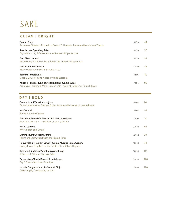## SAKE

## CLEAN | BRIGHT

| Sanran Ginjo<br>Aromas of Steamed Rice, White Flowers & Honeyed Banana with a Viscous Texture                                  | 300ml | 44 |
|--------------------------------------------------------------------------------------------------------------------------------|-------|----|
| Awashizuku Sparkling Sake<br>Dry with a Lively Effervescence and notes of Ripe Banana                                          | 300ml | 30 |
| Den Blanc Junmai<br>Made Using White Koji, Zesty Sake with Subtle Rice Sweetness                                               | 500ml | 55 |
| Den Batch #15 Junmai<br>Made Using Rue & Forsman Ranch Rice                                                                    | 500ml | 55 |
| Tamura Yamasake 4<br>Crisp & Dry, Fresh and Notes of White Blossom                                                             | 720ml | 80 |
| Mineno Hakubai 'King of Modern Light' Junmai Ginjo<br>Aromas of Jasmine & Meyer Lemon with Layers of Nectarine, Citrus & Spice | 720ml | 95 |

and the state of the state of

## DRY | BOLD

| Gunma Izumi Yamahai Honjozo<br>Crimini Mushrooms, Cashew & Lilac Aromas with Stonefruit on the Palate            | 300ml | 26  |
|------------------------------------------------------------------------------------------------------------------|-------|-----|
| Ima Junmai<br>For Pairing With Oysters                                                                           | 300ml | 46  |
| Takatenjin Sword Of The Sun Tokubetsu Honjozo<br>Excellent Sake to Pair with Food, Creamy Acidity                | 720ml | 58  |
| Akabu Junmai<br>White Peach and Umami                                                                            | 720ml | 80  |
| Gunma Izumi Chotoku Junmai<br>Round and Earthy with Peach and Papaya Notes                                       | 720ml | 90  |
| Hakugyokko "Fragrant Jewel" Junmai Muroka Nama Genshu<br>Honeydew and Lychee on the Palate with a Robust Dryness | 720ml | 98  |
| Kinmon Akita Shiro Yamabuki Assemblage<br>A Cuvee of Different Styles of Sake                                    | 720ml | 115 |
| Dewazakura 'Tenth Degree' Izumi Judan<br>Dry & Clear with Hints of Juniper                                       | 720ml | 120 |
| Harada Gengetsu Muroka Junmai Ginjo<br>Green Apple, Cantaloupe, Umami                                            | 720ml | 120 |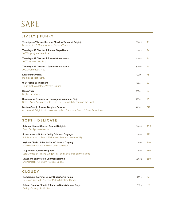## SAKE

## LIVELY | FUNKY

| Tedorigawa 'Chrysanthemum Meadow' Yamahai Daiginjo<br>Butterscotch & Mint Aromatics, Velvety Texture                  | 300ml | 48  |
|-----------------------------------------------------------------------------------------------------------------------|-------|-----|
| Takachiyo 59 Chapter 1 Junmai Ginjo Nama<br>100% Ipponjime Sake Rice                                                  | 500ml | 94  |
| Takachiyo 59 Chapter 2 Junmai Ginjo Nama<br>100% Aiyama Sake Rice                                                     | 500ml | 94  |
| Takachiyo 59 Chapter 4 Junmai Ginjo Nama<br>100% Hanafubuki Rice                                                      | 500ml | 94  |
| Kagatsura Umeshu<br>Plum Sake. Tart, Floral                                                                           | 720ml | 75  |
| U 'U-Nique' Yoshidagura<br><b>Tingly Pink Grapefruit, Velvety Texture</b>                                             | 720ml | 80  |
| <b>Hojun Yuzu</b><br>Bright, Tart, Juicy                                                                              | 720ml | 80  |
| Dewazakura Dewasansan Namagenshu Junmai Ginjo<br>Ume & Anise Aromatics with Fresh Fruit Upfront & Umami on the Finish | 720ml | 96  |
| Benten Gokujo Junmai Daiginjo Genshu<br>An Unusual Daiginjo with Notes of Lychee Gummies, Peach & Straw Tatami Mat    | 720ml | 270 |
| <b>SOFT   DELICATE</b>                                                                                                |       |     |
| Sakamai Kikusui Genshu Junmai Daiginjo<br>Fresh Cut Apples & Melon                                                    | 720ml | 100 |
| Jozen Mizuno Gotoshi 'Indigo' Junmai Daiginjo<br>Subtle Aromas of Peach, Melon and Pear with Notes of Lily            | 720ml | 122 |

Isojiman 'Pride of the SeaShore' Junmai Daigingo 720ml 160 Strawberry Blossom, Anisette and Asian Pear

Tsuji Zenbei Junmai Daigingo 720ml 180 Soft Aromas of Tea and Ginger. Pear and Nectarines on the Palette Sawahime Shimotsuke Junmai Daigingo **720ml 180** Bright Peach, Minerality, Notes of Vanilla

### **CLOUDY**

| Kamoizumi "Summer Snow" Nigori Ginjo Nama<br>Luscious Sake with Notes of Melon & Cotton Candy | 500 <sub>ml</sub> | hh |
|-----------------------------------------------------------------------------------------------|-------------------|----|
| Rihaku Dreamy Clouds Tokubetsu Nigori Junmai Ginjo<br>Earthy, Creamy, Subtle Sweetness        | 720ml             | 78 |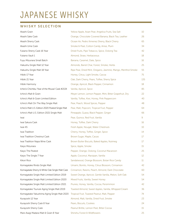## JAPANESE WHISKY

### WHISKY SELECTION

| Akashi Grain                                       | Yellow Apple, Asian Pear, Angelica Fruits, Sea Salt           | 10  |
|----------------------------------------------------|---------------------------------------------------------------|-----|
| Akashi Sake Cask                                   | Orange, Chocolate Covered Banana, Black Tea, Leather          | 26  |
| Akashi Sherry Cask                                 | Ocean Air, Pedro Ximenez Sherry, Black Cherry                 | 65  |
| Akashi Ume Cask                                    | Smoke & Peat, Cotton Candy, Anise, Plum                       | 34  |
| Fukano Sherry Cask 16 Year                         | Dried Fruits, Pipe Tobacco, Spice, Oolong Tea                 | 42  |
| Fukano Vault 1                                     | Almond, Straw, Herbaceous                                     | 18  |
| Fuyu Mizunara Small Batch                          | Banana, Caramel, Date, Spice                                  | 16  |
| Hakushu Single Malt 12 Year                        | Almonds, Barrel Char, Forest, Smoke, Herbs                    | 25  |
| Hakushu Single Malt 18 Year                        | Ripe Pear, Dried Mint, Oregano, Jasmine, Mango, Menthol Smoke | 55  |
| Hibiki 17 Year                                     | Honey, Citrus, Light Smoke, Cacoa                             | 75  |
| Hibiki 21 Year                                     | Oak, Dark Cherry, Pears, Toffee, Sherry Spice                 | 135 |
| Hibiki Harmony                                     | Orange, Apricot, Black Pepper, Cinnamon                       | 18  |
| Ichiro's Chichibu 'Year of the Mouse' Cask #2134   | Vanilla, Apricot, Spice                                       | 85  |
| Ichiro's Malt & Grain                              | Meyer Lemon, Lemon Pepper, Mint, Bitter Grapefruit, Dry       | 22  |
| Ichiro's Malt & Grain Limited Edition              | Vanilla, Toffee, Kiwi, Honey, Pink Peppercorn                 | 40  |
| Ichiro's Malt On The Way Single Malt               | Pear, Peach, Wood Spices, Pepper                              | 48  |
| Ichiro's Malt U.S. Edition 2020 Peated Single Malt | Pear, Malt, Popcorn, Tropical Fruit, Pepper                   | 64  |
| Ichiro's Malt U.S. Edition 2021 Single Malt        | Pineapple, Guava, Black Pepper, Ginger                        | 66  |
| Iwai                                               | Pear, Quince, Red Fruit, Vanilla                              | 9   |
| Iwai Sakura Cask                                   | Honey, Toffee, Dark Cherry                                    | 16  |
| Iwai 45                                            | Fresh Apple, Nougat, Water Chestnuts                          | 10  |
| Iwai Tradition                                     | Cherry, Honey, Toffee, Ginger, Spice                          | 14  |
| Iwai Tradition Chestnut Cask                       | Brown Sugar, Maple, Cacao                                     | 17  |
| Iwai Tradition Napa Wine Cask                      | Brown Butter Biscuits, Baked Apples, Nutmeg                   | 17  |
| Kaiyo Mizunara                                     | Spice, Apple, Smoke                                           | 15  |
| Kaiyo The Peated                                   | Pepper, Orange, Oolong, Coconut Macaroon                      | 25  |
| Kaiyo The Single 7 Year                            | Apple, Coconut, Marzipan, Vanilla                             | 12  |
| Kikori Rice                                        | Sandalwood, Orange Blossom, Botan Rice Candy                  | 11  |
| Komagatake Rindo Single Malt                       | Umami, Bonito, Honey, Citrus Blossom, Cinnamon                | 42  |
| Komagatake Sherry & White Oak Single Malt Cask     | Cinnamon, Raisins, Peach, Almond, Dark Chocolate              | 60  |
| Komagatake Single Malt Limited Edition 2019        | Sweet Orange, Apricot, Gentle Vanilla, Melon, Soft Oak        | 54  |
| Komagatake Single Malt Limited Edition 2020        | Mixed Fruits, Vanilla, Sweet Honey                            | 54  |
| Komagatake Single Malt Limited Edition 2021        | Prunes, Honey, Vanilla, Cocoa, Persimmion                     | 42  |
| Komagatake Tsunuki Aging Single Malt 2019          | Toasted Almond, Sweet Apples, Vanilla, Whipped Cream          | 36  |
| Komagatake Yakushima Aging Single Malt 2020        | Tropical Fruit, Toasted Peanut, Malt, Pepper                  | 74  |
| Kurayoshi 12 Year                                  | Almond, Malt, Vanilla, Dried Fruit, Smoke                     | 23  |
| Kurayoshi Sherry Cask 8 Year                       | Pears, Biscuits, Cookies                                      | 24  |
| Kurayoshi Sherry Cask                              | Peanut Brittle, Lemon Peel, Bitter Cocoa                      | 15  |
| Mars Asagi Madara Malt & Grain 8 Year              | Shinshu Forest & Wildflowers                                  | 25  |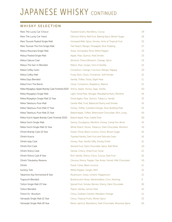## **JAPANESE WHISKY CONTINUED**

#### WHISKY SELECTION

| Mars The Lucky Cat 'Choco'                      | Toasted Grains, Red Berry, Cocoa                            | 29              |
|-------------------------------------------------|-------------------------------------------------------------|-----------------|
| Mars The Lucky Cat 'Hana'                       | Oloroso Sherry, Red Fruit, Baking Spice, Brown Sugar        | 26              |
| Mars Tsunuki Peated Single Malt                 | Honeyed Malt, Spice, Smoke, Hints of Tropical Fruit         | 55              |
| Mars Tsunuki The First Single Malt              | Tart Peach, Mango, Pineapple, Rice Pudding                  | 57              |
| Matsui Mizunara Single Malt                     | Straw, Honeydew Rind, White Pepper                          | 23              |
| Matsui Peated Single Malt                       | Apple, Pear, Quince, Peat Smoke                             | 23              |
| Matsui Sakura Cask                              | Almond, Cherry Blossom, Orange, Spice                       | 23              |
| Matsui The San-In Blended                       | Melon, Pear, Ginger, Hint of Vanillla                       | 10              |
| Nikka Coffey Grain                              | Cinnamon, Orange, Coconut, Mango, Papaya                    | 20              |
| Nikka Coffey Malt                               | Fruity, Rich, Clove, Cinnamon, Soft Smoke                   | 22              |
| Nikka Days Blended                              | Vanilla, Toffee, Floral, Slight Peat                        | 11              |
| Nikka From The Barrel                           | Clove, Cinnamon, Raspberry, Walnut                          | 15              |
| Nikka Miyagikyo Apple Brandy Cask Finished 2020 | Sherry, Apple, Honey, Sage, Vanilla                         | 60              |
| Nikka Miyagikyo Single Malt                     | Light, Dried Pear, Nougat, Macadamia Nuts, Menthol          | 18              |
| Nikka Miyagikyo Single Malt 12 Year             | Dried Apple, Pear, Quince, Tobacco, Vanilla                 | 35              |
| Nikka Taketsuru Pure Malt                       | Gentle Malt, Fruit, Balanced Sherry and Smoke               | 16              |
| Nikka Taketsuru Pure Malt 17 Year               | Honey, Toffee, Candied Orange, Slow Building Peat           | 55              |
| Nikka Taketsuru Pure Malt 21 Year               | Baked Apple, Toffee, Bittersweet Chocolate, Rich, Long      | 65              |
| Nikka Yoichi Apple Brandy Cask Finished 2020    | Baked Apple, Pear, Subtle Peat                              | 60              |
| Nikka Yoichi Single Malt                        | Savory, Eucalyptus, Menthol, Honey, Camp Fire, Brine        | 19              |
| Nikka Yoichi Single Malt 15 Year                | White Peach, Pecan, Tobacco, Dark Chocolate, Menthol        | 45              |
| Ohishi Brandy Cask 10 Year                      | Sweet, Floral, Black Licorice, Clove, Brown Sugar           | 16              |
| Ohishi Acacia                                   | Toasted Vanilla, Dark Fruit and Delicate Grain              | 16              |
| Ohishi Islay Cask                               | Honey, Pear, Vanilla Taffy, Smoky Finish                    | 15              |
| Ohishi Port Cask                                | Stewed Fruit, Dark Chocolate, Spice, Red Wine               | 20              |
| Ohishi Sherry Cask                              | Vanilla, Cherry, Dried Fruit, Floral                        | 12 <sup>°</sup> |
| Ohishi Sherry Cask 8 Year                       | Rich Vanilla, Sherry, Citrus, Cocoa, Dark Fruit             | 16              |
| Ohishi Tokubetsu Reserve                        | Oloroso Sherry, Pepper, Star Anise, Fennel, Milk Chocolate  | 50              |
| Ohishi                                          | Floral, Clove, Black Licorice                               | 12              |
| <b>Suntory Toki</b>                             | White Pepper, Ginger, Mint                                  | 10              |
| Takamine Koji Fermented 8 Year                  | Mushroom, Grass, Umami, Peppercorn                          | 15              |
| Togouchi Blended                                | Butterscotch Nose, Marshmallow, Corn, Nutmeg                | 9               |
| Tottori Single Malt 23 Year                     | Spiced Fruit, Smoke, Berries, Sherry, Dark Chocolate        | 82              |
| <b>Tottori Blended</b>                          | Peach, Vanilla, Lemon Peel                                  | 10              |
| Tottori Ex- Bourbon                             | Citrus, Graham Cracker, Mandarin Orange                     | 12              |
| Yamazaki Single Malt 12 Year                    | Citrus, Tropical Fruits, Winter Spice                       | 25              |
| Yamazaki Single Malt 18 Year                    | Raisin, Apricot, Blackberry, Dark Chocolate, Mizunara Spice | 65              |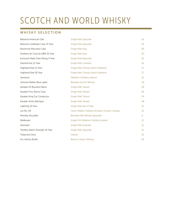# SCOTCH AND WORLD WHISKY

#### WHISKY SELECTION

| Balvenie American Oak                | <b>Single Malt Speyside</b>                    | 16              |
|--------------------------------------|------------------------------------------------|-----------------|
| Balvenie Caribbean Cask 14 Year      | <b>Single Malt Speyside</b>                    | 18              |
| Bowmore Mizunara Cask                | Single Malt Islay                              | 85              |
| Distillers Art Coal Ila 1984 32 Year | Single Malt Islay                              | 65              |
| Exclusive Malts Glen Moray 9 Year    | <b>Single Malt Speyside</b>                    | 16              |
| Glenkinchie 12 Year                  | <b>Single Malt Lowland</b>                     | 16              |
| Highland Park 12 Year                | Single Malt Orkney Island Highland             | 12 <sup>°</sup> |
| Highland Park 18 Year                | Single Malt Orkney Island Highland             | 27              |
| Jameson                              | Midleton Distillery Ireland                    | 10              |
| Johnnie Walker Blue Label            | <b>Blended Scotch Whisky</b>                   | 50              |
| Kavalan EX Bourbon Barre             | Single Malt Taiwan                             | 28              |
| Kavalan Fino Sherry Cask             | Single Malt Taiwan                             | 65              |
| Kavalan King Car Conductor           | Single Malt Taiwan                             | 24              |
| Kavalan Vinho Barrique               | Single Malt Taiwan                             | 48              |
| Laphroig 10 Year                     | Single Malt Isle of Islay                      | 15              |
| Lot No. 40                           | Hiram Walker Distillery Windsor Ontario Canada | 10              |
| Monkey Shoulder                      | <b>Blended Malt Whisky Speyside</b>            | 9               |
| Redbreast                            | Single Pot Midleton Distillery Ireland         | 12 <sup>°</sup> |
| Starward                             | Single Malt Australia                          | 12 <sup>°</sup> |
| Tamdhu Batch Strength 10 Year        | <b>Single Malt Speyside</b>                    | 15              |
| <b>Tullamore Dew</b>                 | Ireland                                        | 10              |
| Kru Infinity Bottle                  | <b>Blend of Select Whisky</b>                  | 18              |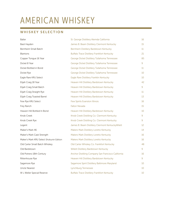# AMERICAN WHISKEY

### WHISKEY SELECTION

**Contract Contract** 

| <b>Baller</b>                            | St. George Distillery Alemda California            | 16           |
|------------------------------------------|----------------------------------------------------|--------------|
| Basil Hayden                             | James B. Beam Distillery Clermont Kentucky         | 15           |
| Bernheim Small Batch                     | Bernheim Distillery Bardstown Kentucky             | 11           |
| <b>Blantons</b>                          | <b>Buffalo Trace Distillery Frankfort Kentucky</b> | 21           |
| Copper Tongue 16 Year                    | George Dickel Distillery Tullahoma Tennessee       | 85           |
| Dickel 8 Year                            | George Dickel Distillery Tullahoma Tennessee       | 9            |
| Dickel Bottled in Bond                   | George Dickel Distillery Tullahoma Tennessee       | 11           |
| Dickel Rye                               | George Dickel Distillery Tullahoma Tennessee       | 10           |
| Eagle Rare KRU Select                    | Eagle Rare Distillery Franklin Kentucky            | 10           |
| Elijah Craig 18 Year                     | Heaven Hill Distillery Bardstown Kentucky          | 42           |
| Elijah Craig Small Batch                 | Heaven Hill Distillery Bardstown Kentucky          | 9            |
| Elijah Craig Straight Rye                | Heaven Hill Distillery Bardstown Kentucky          | $11^{\circ}$ |
| Elijah Craig Toasted Barrel              | Heaven Hill Distillery Bardstown Kentucky          | 13           |
| Few Rye KRU Select                       | Few Spirits Evanston Illinois                      | 16           |
| Frey Ranch                               | <b>Fallon Nevada</b>                               | 15           |
| Heaven Hill Bottled In Bond              | Heaven Hill Distillery Bardstown Kentucky          | 10           |
| Knob Creek                               | Knob Creek Distilling Co. Clermont Kentucky        | 9            |
| Knob Creek Rye                           | Knob Creek Distilling Co. Clermont Kentucky        | 9            |
| Legent                                   | James B. Beam Distillery Clermont KentuckyWilett   | 12           |
| Maker's Mark 46                          | Makers Mark Distillery Loretto Kentucky            | 14           |
| Maker's Mark Cask Strength               | Makers Mark Distillery Loretto Kentucky            | 16           |
| Maker's Mark KRU Select Shokunin Edition | <b>Makers Mark Distillery Loretto Kentucky</b>     | 16           |
| Old Carter Small Batch Whiskey           | Old Carter Whiskey Co. Frankfort Kentucky          | 48           |
| Old Bardstown                            | Willett Distillery Bardstown Kentucky              | 9            |
| Old Potrero 18th Century                 | Anchor Distilling Company San Francisco California | 16           |
| Rittenhouse Rye                          | Heaven Hill Distillery Bardstown Kentucky          | 9            |
| Sagamore Rye                             | Sagamore Spirit Distillery Baltimore Maryland      | 10           |
| <b>Uncle Nearest</b>                     | Lynchburg Tennessee                                | 10           |
| W L Weller Special Reserve               | <b>Buffalo Trace Distillery Frankfort Kentucky</b> | 10           |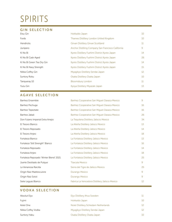# SPIRITS

#### GIN SELECTION

| Etsu Gin                   | Hokkaido Japan                                     | 10              |
|----------------------------|----------------------------------------------------|-----------------|
| Fords                      | Thames Distillery London United Kingdom            | 10              |
| <b>Hendricks</b>           | Girvan Distillery Girvan Scottland                 | 11              |
| Junipero                   | Anchor Distilling Company San Francisco California | 9               |
| Ki No Bi                   | Kyoto Distillery Fushimi District Kyoto Japan      | 14              |
| Ki No Bi Cask-Aged         | Kyoto Distillery Fushimi District Kyoto Japan      | 26              |
| Ki No Bi Green Tea Dry Gin | Kyoto Distillery Fushimi District Kyoto Japan      | 14              |
| Ki No Bi Navy Strength     | Kyoto Distillery Fushimi District Kyoto Japan      | 15              |
| Nikka Coffey Gin           | Miyagikyo Distillery Sendai Japan                  | 12 <sup>2</sup> |
| <b>Suntory Roku</b>        | Osaka Distillery Osaka Japan                       | 10              |
| Tangueray 10               | <b>Bloomsbury London</b>                           | 11              |
| Yuzu Gin                   | Kyoya Distillery Miyazaki Japan                    | 13              |
|                            |                                                    |                 |

### AGAVE SELECTION

| Banhez Cooperative San Miguel Oaxaca Mexico    | 9  |
|------------------------------------------------|----|
| Banhez Cooperative San Miguel Oaxaca Mexico    | 16 |
| Banhez Cooperative San Miguel Oaxaca Mexico    | 16 |
| Banhez Cooperative San Miguel Oaxaca Mexico    | 26 |
| La Tequilena Distillery Jaliscio Mexico        | 34 |
| La Alteña Distillery Jalisco Mexico            | 13 |
| La Alteña Distillery Jalisco Mexico            | 14 |
| La Alteña Distillery Jalisco Mexico            | 18 |
| La Fortaleza Distillery Jalisco Mexico         | 13 |
| La Fortaleza Distillery Jalisco Mexico         | 16 |
| La Fortaleza Distillery Jalisco Mexico         | 14 |
| La Fortaleza Distillery Jalisco Mexico         | 18 |
| La Fortaleza Distillery Jalisco Mexico         | 25 |
| Tlaxcala Mexico                                | 9  |
| Sierra del Tigre de Jalisco Mexico             | 25 |
| Durango Mexico                                 | 9  |
| Durango Mexico                                 | 9  |
| Fabrica La Vencedora Distillery Jalisco Mexico | 12 |
|                                                |    |

## VODKA SELECTION

| Absolut Elyx       | Elyx Distillery Ahus Sweden           |    |
|--------------------|---------------------------------------|----|
| Fujimi             | Hokkaido Japan                        | 10 |
| Ketel One          | Nolet Distillery Schiedam Netherlands |    |
| Nikka Coffey Vodka | Miyagikyo Distillery Sendai Japan     |    |
| Suntory Haku       | Osaka Distillery Osaka Japan          |    |